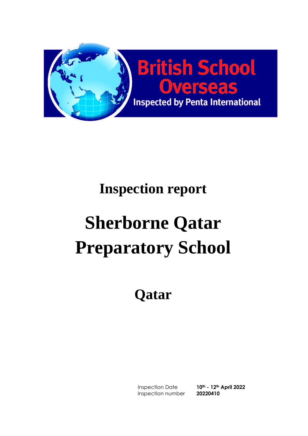

# **Inspection report**

# **Sherborne Qatar Preparatory School**

# **Qatar**

Inspection Date **10th - 12th April 2022** Inspection number **20220410**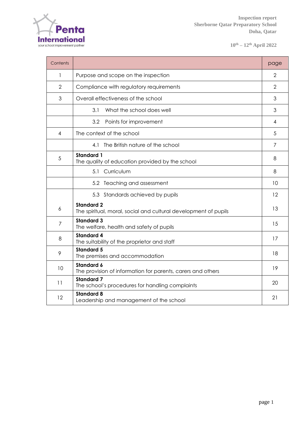

**10th – 12th April 2022**

| Contents       |                                                                                      | page            |
|----------------|--------------------------------------------------------------------------------------|-----------------|
| 1              | Purpose and scope on the inspection                                                  | 2               |
| $\overline{2}$ | Compliance with regulatory requirements                                              | $\overline{2}$  |
| 3              | Overall effectiveness of the school                                                  | 3               |
|                | What the school does well<br>3.1                                                     | 3               |
|                | 3.2<br>Points for improvement                                                        | 4               |
| 4              | The context of the school                                                            | 5               |
|                | 4.1 The British nature of the school                                                 | 7               |
| 5              | <b>Standard 1</b><br>The quality of education provided by the school                 | 8               |
|                | 5.1<br>Curriculum                                                                    | 8               |
|                | 5.2 Teaching and assessment                                                          | 10              |
|                | 5.3 Standards achieved by pupils                                                     | 12 <sup>°</sup> |
| 6              | <b>Standard 2</b><br>The spiritual, moral, social and cultural development of pupils | 13              |
| $\overline{7}$ | <b>Standard 3</b><br>The welfare, health and safety of pupils                        | 15              |
| 8              | <b>Standard 4</b><br>The suitability of the proprietor and staff                     | 17              |
| 9              | <b>Standard 5</b><br>The premises and accommodation                                  | 18              |
| 10             | <b>Standard 6</b><br>The provision of information for parents, carers and others     | 19              |
| 11             | <b>Standard 7</b><br>The school's procedures for handling complaints                 | 20              |
| 12             | <b>Standard 8</b><br>Leadership and management of the school                         | 21              |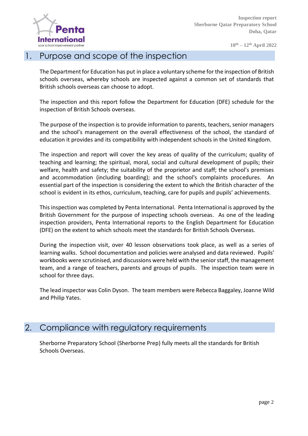

#### 1. Purpose and scope of the inspection

The Department for Education has put in place a voluntary scheme for the inspection of British schools overseas, whereby schools are inspected against a common set of standards that British schools overseas can choose to adopt.

The inspection and this report follow the Department for Education (DFE) schedule for the inspection of British Schools overseas.

The purpose of the inspection is to provide information to parents, teachers, senior managers and the school's management on the overall effectiveness of the school, the standard of education it provides and its compatibility with independent schools in the United Kingdom.

The inspection and report will cover the key areas of quality of the curriculum; quality of teaching and learning; the spiritual, moral, social and cultural development of pupils; their welfare, health and safety; the suitability of the proprietor and staff; the school's premises and accommodation (including boarding); and the school's complaints procedures. An essential part of the inspection is considering the extent to which the British character of the school is evident in its ethos, curriculum, teaching, care for pupils and pupils' achievements.

This inspection was completed by Penta International. Penta International is approved by the British Government for the purpose of inspecting schools overseas. As one of the leading inspection providers, Penta International reports to the English Department for Education (DFE) on the extent to which schools meet the standards for British Schools Overseas.

During the inspection visit, over 40 lesson observations took place, as well as a series of learning walks. School documentation and policies were analysed and data reviewed. Pupils' workbooks were scrutinised, and discussions were held with the senior staff, the management team, and a range of teachers, parents and groups of pupils. The inspection team were in school for three days.

The lead inspector was Colin Dyson. The team members were Rebecca Baggaley, Joanne Wild and Philip Yates.

#### 2. Compliance with regulatory requirements

Sherborne Preparatory School (Sherborne Prep) fully meets all the standards for British Schools Overseas.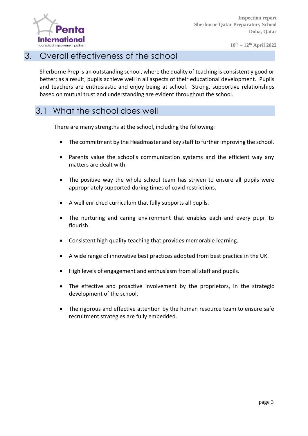

#### 3. Overall effectiveness of the school

Sherborne Prep is an outstanding school, where the quality of teaching is consistently good or better; as a result, pupils achieve well in all aspects of their educational development. Pupils and teachers are enthusiastic and enjoy being at school. Strong, supportive relationships based on mutual trust and understanding are evident throughout the school.

#### 3.1 What the school does well

There are many strengths at the school, including the following:

- The commitment by the Headmaster and key staff to further improving the school.
- Parents value the school's communication systems and the efficient way any matters are dealt with.
- The positive way the whole school team has striven to ensure all pupils were appropriately supported during times of covid restrictions.
- A well enriched curriculum that fully supports all pupils.
- The nurturing and caring environment that enables each and every pupil to flourish.
- Consistent high quality teaching that provides memorable learning.
- A wide range of innovative best practices adopted from best practice in the UK.
- High levels of engagement and enthusiasm from all staff and pupils.
- The effective and proactive involvement by the proprietors, in the strategic development of the school.
- The rigorous and effective attention by the human resource team to ensure safe recruitment strategies are fully embedded.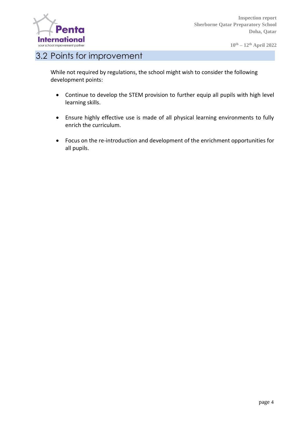

#### 3.2 Points for improvement

While not required by regulations, the school might wish to consider the following development points:

- Continue to develop the STEM provision to further equip all pupils with high level learning skills.
- Ensure highly effective use is made of all physical learning environments to fully enrich the curriculum.
- Focus on the re-introduction and development of the enrichment opportunities for all pupils.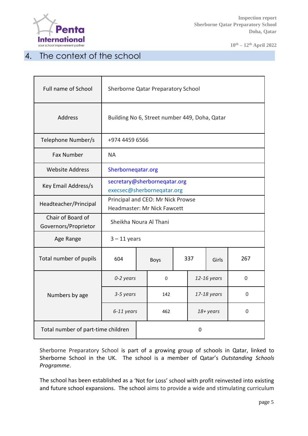

**10th – 12th April 2022**

### 4. The context of the school

| <b>Full name of School</b>                | Sherborne Qatar Preparatory School                                      |            |                    |     |  |             |          |
|-------------------------------------------|-------------------------------------------------------------------------|------------|--------------------|-----|--|-------------|----------|
| Address                                   | Building No 6, Street number 449, Doha, Qatar                           |            |                    |     |  |             |          |
| Telephone Number/s                        | +974 4459 6566                                                          |            |                    |     |  |             |          |
| <b>Fax Number</b>                         | <b>NA</b>                                                               |            |                    |     |  |             |          |
| <b>Website Address</b>                    | Sherborneqatar.org                                                      |            |                    |     |  |             |          |
| Key Email Address/s                       | secretary@sherborneqatar.org<br>execsec@sherborneqatar.org              |            |                    |     |  |             |          |
| Headteacher/Principal                     | Principal and CEO: Mr Nick Prowse<br><b>Headmaster: Mr Nick Fawcett</b> |            |                    |     |  |             |          |
| Chair of Board of<br>Governors/Proprietor | Sheikha Noura Al Thani                                                  |            |                    |     |  |             |          |
| Age Range                                 | $3 - 11$ years                                                          |            |                    |     |  |             |          |
| Total number of pupils                    | 604                                                                     |            | 337<br><b>Boys</b> |     |  | Girls       | 267      |
|                                           | 0-2 years                                                               |            | 0                  |     |  | 12-16 years | 0        |
| Numbers by age                            | 3-5 years                                                               |            |                    | 142 |  | 17-18 years | 0        |
|                                           |                                                                         | 6-11 years |                    | 462 |  | 18+ years   | $\Omega$ |
| Total number of part-time children        |                                                                         |            | 0                  |     |  |             |          |

Sherborne Preparatory School is part of a growing group of schools in Qatar, linked to Sherborne School in the UK. The school is a member of Qatar's *Outstanding Schools Programme*.

The school has been established as a 'Not for Loss' school with profit reinvested into existing and future school expansions. The school aims to provide a wide and stimulating curriculum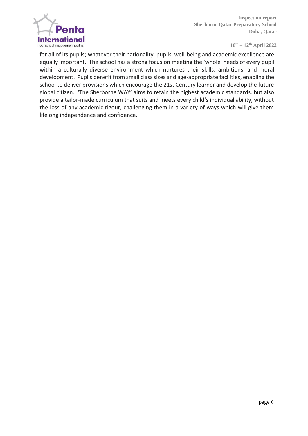

for all of its pupils; whatever their nationality, pupils' well-being and academic excellence are equally important. The school has a strong focus on meeting the 'whole' needs of every pupil within a culturally diverse environment which nurtures their skills, ambitions, and moral development. Pupils benefit from small class sizes and age-appropriate facilities, enabling the school to deliver provisions which encourage the 21st Century learner and develop the future global citizen. 'The Sherborne WAY' aims to retain the highest academic standards, but also provide a tailor-made curriculum that suits and meets every child's individual ability, without the loss of any academic rigour, challenging them in a variety of ways which will give them lifelong independence and confidence.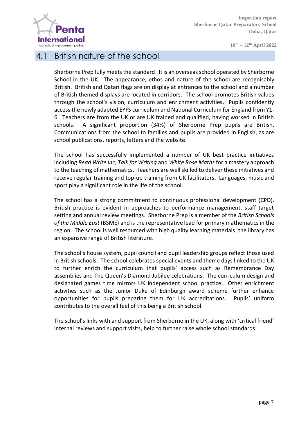

**10th – 12th April 2022**

#### 4.1 British nature of the school

Sherborne Prep fully meets the standard. It is an overseas school operated by Sherborne School in the UK. The appearance, ethos and nature of the school are recognisably British. British and Qatari flags are on display at entrances to the school and a number of British themed displays are located in corridors. The school promotes British values through the school's vision, curriculum and enrichment activities. Pupils confidently access the newly adapted EYFS curriculum and National Curriculum for England from Y1- 6. Teachers are from the UK or are UK trained and qualified, having worked in British schools. A significant proportion (34%) of Sherborne Prep pupils are British. Communications from the school to families and pupils are provided in English, as are school publications, reports, letters and the website.

The school has successfully implemented a number of UK best practice initiatives including *Read Write Inc, Talk for Writing* and *White Rose Maths* for a mastery approach to the teaching of mathematics. Teachers are well skilled to deliver these initiatives and receive regular training and top-up training from UK facilitators. Languages, music and sport play a significant role in the life of the school.

The school has a strong commitment to continuous professional development (CPD). British practice is evident in approaches to performance management, staff target setting and annual review meetings. Sherborne Prep is a member of the *British Schools of the Middle East* (BSME) and is the representative lead for primary mathematics in the region. The school is well resourced with high quality learning materials; the library has an expansive range of British literature.

The school's house system, pupil council and pupil leadership groups reflect those used in British schools. The school celebrates special events and theme days linked to the UK to further enrich the curriculum that pupils' access such as Remembrance Day assemblies and The Queen's Diamond Jubilee celebrations. The curriculum design and designated games time mirrors UK independent school practice. Other enrichment activities such as the Junior Duke of Edinburgh award scheme further enhance opportunities for pupils preparing them for UK accreditations. Pupils' uniform contributes to the overall feel of this being a British school.

The school's links with and support from Sherborne in the UK, along with 'critical friend' internal reviews and support visits, help to further raise whole school standards.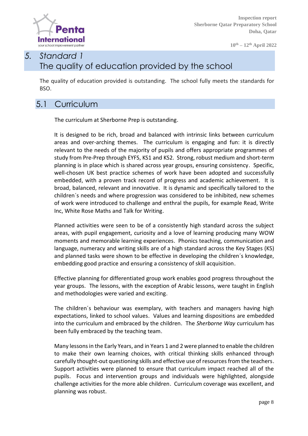

**10th – 12th April 2022**

## *5. Standard 1* The quality of education provided by the school

The quality of education provided is outstanding. The school fully meets the standards for BSO.

### 5.1 Curriculum

The curriculum at Sherborne Prep is outstanding.

It is designed to be rich, broad and balanced with intrinsic links between curriculum areas and over-arching themes. The curriculum is engaging and fun: it is directly relevant to the needs of the majority of pupils and offers appropriate programmes of study from Pre-Prep through EYFS, KS1 and KS2. Strong, robust medium and short-term planning is in place which is shared across year groups, ensuring consistency. Specific, well-chosen UK best practice schemes of work have been adopted and successfully embedded, with a proven track record of progress and academic achievement. It is broad, balanced, relevant and innovative. It is dynamic and specifically tailored to the children´s needs and where progression was considered to be inhibited, new schemes of work were introduced to challenge and enthral the pupils, for example Read, Write Inc, White Rose Maths and Talk for Writing.

Planned activities were seen to be of a consistently high standard across the subject areas, with pupil engagement, curiosity and a love of learning producing many WOW moments and memorable learning experiences. Phonics teaching, communication and language, numeracy and writing skills are of a high standard across the Key Stages (KS) and planned tasks were shown to be effective in developing the children´s knowledge, embedding good practice and ensuring a consistency of skill acquisition.

Effective planning for differentiated group work enables good progress throughout the year groups. The lessons, with the exception of Arabic lessons, were taught in English and methodologies were varied and exciting.

The children´s behaviour was exemplary, with teachers and managers having high expectations, linked to school values. Values and learning dispositions are embedded into the curriculum and embraced by the children. The *Sherborne Way* curriculum has been fully embraced by the teaching team.

Many lessons in the Early Years, and in Years 1 and 2 were planned to enable the children to make their own learning choices, with critical thinking skills enhanced through carefully thought-out questioning skills and effective use of resources from the teachers. Support activities were planned to ensure that curriculum impact reached all of the pupils. Focus and intervention groups and individuals were highlighted, alongside challenge activities for the more able children. Curriculum coverage was excellent, and planning was robust.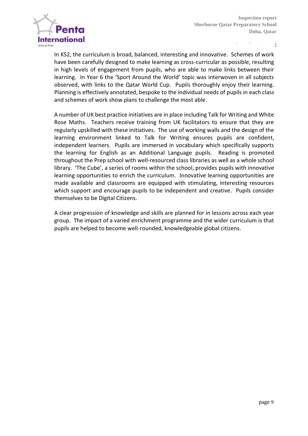

In KS2, the curriculum is broad, balanced, interesting and innovative. Schemes of work have been carefully designed to make learning as cross-curricular as possible, resulting in high levels of engagement from pupils, who are able to make links between their learning. In Year 6 the 'Sport Around the World' topic was interwoven in all subjects observed, with links to the Qatar World Cup. Pupils thoroughly enjoy their learning. Planning is effectively annotated, bespoke to the individual needs of pupils in each class and schemes of work show plans to challenge the most able.

A number of UK best practice initiatives are in place including Talk for Writing and White Rose Maths. Teachers receive training from UK facilitators to ensure that they are regularly upskilled with these initiatives. The use of working walls and the design of the learning environment linked to Talk for Writing ensures pupils are confident, independent learners. Pupils are immersed in vocabulary which specifically supports the learning for English as an Additional Language pupils. Reading is promoted throughout the Prep school with well-resourced class libraries as well as a whole school library. 'The Cube', a series of rooms within the school, provides pupils with innovative learning opportunities to enrich the curriculum. Innovative learning opportunities are made available and classrooms are equipped with stimulating, interesting resources which support and encourage pupils to be independent and creative. Pupils consider themselves to be Digital Citizens.

A clear progression of knowledge and skills are planned for in lessons across each year group. The impact of a varied enrichment programme and the wider curriculum is that pupils are helped to become well-rounded, knowledgeable global citizens.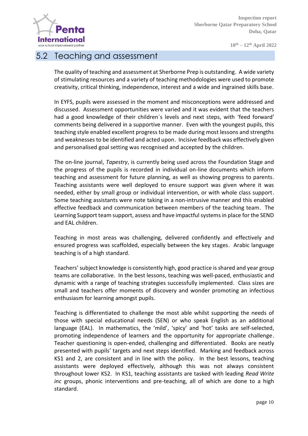

**10th – 12th April 2022**

#### 5.2 Teaching and assessment

The quality of teaching and assessment at Sherborne Prep is outstanding. A wide variety of stimulating resources and a variety of teaching methodologies were used to promote creativity, critical thinking, independence, interest and a wide and ingrained skills base.

In EYFS, pupils were assessed in the moment and misconceptions were addressed and discussed. Assessment opportunities were varied and it was evident that the teachers had a good knowledge of their children´s levels and next steps, with 'feed forward' comments being delivered in a supportive manner. Even with the youngest pupils, this teaching style enabled excellent progress to be made during most lessons and strengths and weaknesses to be identified and acted upon. Incisive feedback was effectively given and personalised goal setting was recognised and accepted by the children.

The on-line journal, *Tapestry*, is currently being used across the Foundation Stage and the progress of the pupils is recorded in individual on-line documents which inform teaching and assessment for future planning, as well as showing progress to parents. Teaching assistants were well deployed to ensure support was given where it was needed, either by small group or individual intervention, or with whole class support. Some teaching assistants were note taking in a non-intrusive manner and this enabled effective feedback and communication between members of the teaching team. The Learning Support team support, assess and have impactful systems in place for the SEND and EAL children.

Teaching in most areas was challenging, delivered confidently and effectively and ensured progress was scaffolded, especially between the key stages. Arabic language teaching is of a high standard.

Teachers' subject knowledge is consistently high, good practice is shared and year group teams are collaborative. In the best lessons, teaching was well-paced, enthusiastic and dynamic with a range of teaching strategies successfully implemented. Class sizes are small and teachers offer moments of discovery and wonder promoting an infectious enthusiasm for learning amongst pupils.

Teaching is differentiated to challenge the most able whilst supporting the needs of those with special educational needs (SEN) or who speak English as an additional language (EAL). In mathematics, the 'mild', 'spicy' and 'hot' tasks are self-selected, promoting independence of learners and the opportunity for appropriate challenge. Teacher questioning is open-ended, challenging and differentiated. Books are neatly presented with pupils' targets and next steps identified. Marking and feedback across KS1 and 2, are consistent and in line with the policy. In the best lessons, teaching assistants were deployed effectively, although this was not always consistent throughout lower KS2. In KS1, teaching assistants are tasked with leading *Read Write inc* groups, phonic interventions and pre-teaching, all of which are done to a high standard.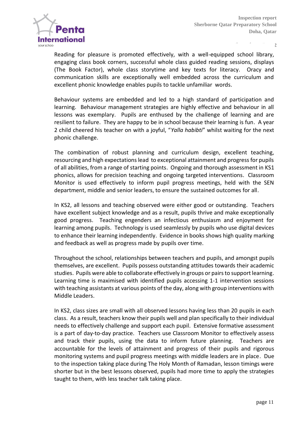

Reading for pleasure is promoted effectively, with a well-equipped school library, engaging class book corners, successful whole class guided reading sessions, displays (The Book Factor), whole class storytime and key texts for literacy. Oracy and communication skills are exceptionally well embedded across the curriculum and excellent phonic knowledge enables pupils to tackle unfamiliar words.

Behaviour systems are embedded and led to a high standard of participation and learning. Behaviour management strategies are highly effective and behaviour in all lessons was exemplary. Pupils are enthused by the challenge of learning and are resilient to failure. They are happy to be in school because their learning is fun. A year 2 child cheered his teacher on with a joyful, "*Yalla habibti*" whilst waiting for the next phonic challenge.

The combination of robust planning and curriculum design, excellent teaching, resourcing and high expectations lead to exceptional attainment and progress for pupils of all abilities, from a range of starting points. Ongoing and thorough assessment in KS1 phonics, allows for precision teaching and ongoing targeted interventions. Classroom Monitor is used effectively to inform pupil progress meetings, held with the SEN department, middle and senior leaders, to ensure the sustained outcomes for all.

In KS2, all lessons and teaching observed were either good or outstanding. Teachers have excellent subject knowledge and as a result, pupils thrive and make exceptionally good progress. Teaching engenders an infectious enthusiasm and enjoyment for learning among pupils. Technology is used seamlessly by pupils who use digital devices to enhance their learning independently. Evidence in books shows high quality marking and feedback as well as progress made by pupils over time.

Throughout the school, relationships between teachers and pupils, and amongst pupils themselves, are excellent. Pupils possess outstanding attitudes towards their academic studies. Pupils were able to collaborate effectively in groups or pairs to support learning. Learning time is maximised with identified pupils accessing 1-1 intervention sessions with teaching assistants at various points of the day, along with group interventions with Middle Leaders.

In KS2, class sizes are small with all observed lessons having less than 20 pupils in each class. As a result, teachers know their pupils well and plan specifically to their individual needs to effectively challenge and support each pupil. Extensive formative assessment is a part of day-to-day practice. Teachers use Classroom Monitor to effectively assess and track their pupils, using the data to inform future planning. Teachers are accountable for the levels of attainment and progress of their pupils and rigorous monitoring systems and pupil progress meetings with middle leaders are in place. Due to the inspection taking place during The Holy Month of Ramadan, lesson timings were shorter but in the best lessons observed, pupils had more time to apply the strategies taught to them, with less teacher talk taking place.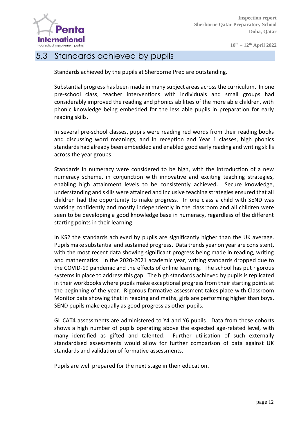

#### 5.3 Standards achieved by pupils

Standards achieved by the pupils at Sherborne Prep are outstanding.

Substantial progress has been made in many subject areas across the curriculum. In one pre-school class, teacher interventions with individuals and small groups had considerably improved the reading and phonics abilities of the more able children, with phonic knowledge being embedded for the less able pupils in preparation for early reading skills.

In several pre-school classes, pupils were reading red words from their reading books and discussing word meanings, and in reception and Year 1 classes, high phonics standards had already been embedded and enabled good early reading and writing skills across the year groups.

Standards in numeracy were considered to be high, with the introduction of a new numeracy scheme, in conjunction with innovative and exciting teaching strategies, enabling high attainment levels to be consistently achieved. Secure knowledge, understanding and skills were attained and inclusive teaching strategies ensured that all children had the opportunity to make progress. In one class a child with SEND was working confidently and mostly independently in the classroom and all children were seen to be developing a good knowledge base in numeracy, regardless of the different starting points in their learning.

In KS2 the standards achieved by pupils are significantly higher than the UK average. Pupils make substantial and sustained progress. Data trends year on year are consistent, with the most recent data showing significant progress being made in reading, writing and mathematics. In the 2020-2021 academic year, writing standards dropped due to the COVID-19 pandemic and the effects of online learning. The school has put rigorous systems in place to address this gap. The high standards achieved by pupils is replicated in their workbooks where pupils make exceptional progress from their starting points at the beginning of the year. Rigorous formative assessment takes place with Classroom Monitor data showing that in reading and maths, girls are performing higher than boys. SEND pupils make equally as good progress as other pupils.

GL CAT4 assessments are administered to Y4 and Y6 pupils. Data from these cohorts shows a high number of pupils operating above the expected age-related level, with many identified as gifted and talented. Further utilisation of such externally standardised assessments would allow for further comparison of data against UK standards and validation of formative assessments.

Pupils are well prepared for the next stage in their education.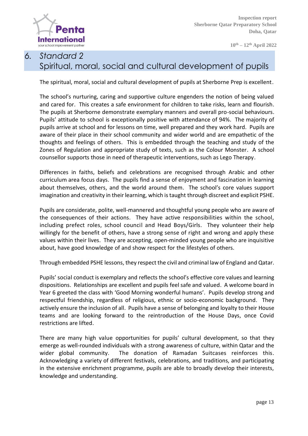

## *6. Standard 2*  Spiritual, moral, social and cultural development of pupils

The spiritual, moral, social and cultural development of pupils at Sherborne Prep is excellent.

The school's nurturing, caring and supportive culture engenders the notion of being valued and cared for. This creates a safe environment for children to take risks, learn and flourish. The pupils at Sherborne demonstrate exemplary manners and overall pro-social behaviours. Pupils' attitude to school is exceptionally positive with attendance of 94%. The majority of pupils arrive at school and for lessons on time, well prepared and they work hard. Pupils are aware of their place in their school community and wider world and are empathetic of the thoughts and feelings of others. This is embedded through the teaching and study of the Zones of Regulation and appropriate study of texts, such as the Colour Monster. A school counsellor supports those in need of therapeutic interventions, such as Lego Therapy.

Differences in faiths, beliefs and celebrations are recognised through Arabic and other curriculum area focus days. The pupils find a sense of enjoyment and fascination in learning about themselves, others, and the world around them. The school's core values support imagination and creativity in their learning, which is taught through discreet and explicit PSHE.

Pupils are considerate, polite, well-mannered and thoughtful young people who are aware of the consequences of their actions. They have active responsibilities within the school, including prefect roles, school council and Head Boys/Girls. They volunteer their help willingly for the benefit of others, have a strong sense of right and wrong and apply these values within their lives. They are accepting, open-minded young people who are inquisitive about, have good knowledge of and show respect for the lifestyles of others.

Through embedded PSHE lessons, they respect the civil and criminal law of England and Qatar.

Pupils' social conduct is exemplary and reflects the school's effective core values and learning dispositions. Relationships are excellent and pupils feel safe and valued. A welcome board in Year 6 greeted the class with 'Good Morning wonderful humans'. Pupils develop strong and respectful friendship, regardless of religious, ethnic or socio-economic background. They actively ensure the inclusion of all. Pupils have a sense of belonging and loyalty to their House teams and are looking forward to the reintroduction of the House Days, once Covid restrictions are lifted.

There are many high value opportunities for pupils' cultural development, so that they emerge as well-rounded individuals with a strong awareness of culture, within Qatar and the wider global community. The donation of Ramadan Suitcases reinforces this. Acknowledging a variety of different festivals, celebrations, and traditions, and participating in the extensive enrichment programme, pupils are able to broadly develop their interests, knowledge and understanding.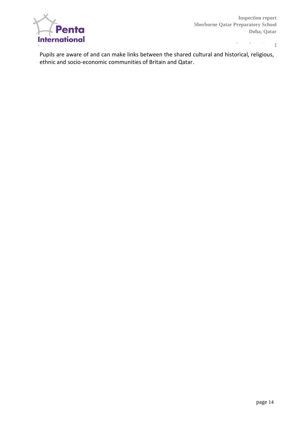

**10th – 12th April 2022**

Pupils are aware of and can make links between the shared cultural and historical, religious, ethnic and socio-economic communities of Britain and Qatar.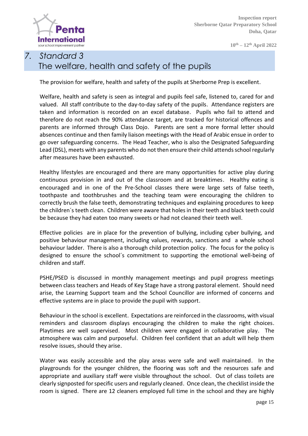

**10th – 12th April 2022**

## *7. Standard 3* The welfare, health and safety of the pupils

The provision for welfare, health and safety of the pupils at Sherborne Prep is excellent.

Welfare, health and safety is seen as integral and pupils feel safe, listened to, cared for and valued. All staff contribute to the day-to-day safety of the pupils. Attendance registers are taken and information is recorded on an excel database. Pupils who fail to attend and therefore do not reach the 90% attendance target, are tracked for historical offences and parents are informed through Class Dojo. Parents are sent a more formal letter should absences continue and then family liaison meetings with the Head of Arabic ensue in order to go over safeguarding concerns. The Head Teacher, who is also the Designated Safeguarding Lead (DSL), meets with any parents who do not then ensure their child attends school regularly after measures have been exhausted.

Healthy lifestyles are encouraged and there are many opportunities for active play during continuous provision in and out of the classroom and at breaktimes. Healthy eating is encouraged and in one of the Pre-School classes there were large sets of false teeth, toothpaste and toothbrushes and the teaching team were encouraging the children to correctly brush the false teeth, demonstrating techniques and explaining procedures to keep the children´s teeth clean. Children were aware that holes in their teeth and black teeth could be because they had eaten too many sweets or had not cleaned their teeth well.

Effective policies are in place for the prevention of bullying, including cyber bullying, and positive behaviour management, including values, rewards, sanctions and a whole school behaviour ladder. There is also a thorough child protection policy. The focus for the policy is designed to ensure the school´s commitment to supporting the emotional well-being of children and staff.

PSHE/PSED is discussed in monthly management meetings and pupil progress meetings between class teachers and Heads of Key Stage have a strong pastoral element. Should need arise, the Learning Support team and the School Councillor are informed of concerns and effective systems are in place to provide the pupil with support.

Behaviour in the school is excellent. Expectations are reinforced in the classrooms, with visual reminders and classroom displays encouraging the children to make the right choices. Playtimes are well supervised. Most children were engaged in collaborative play. The atmosphere was calm and purposeful. Children feel confident that an adult will help them resolve issues, should they arise.

Water was easily accessible and the play areas were safe and well maintained. In the playgrounds for the younger children, the flooring was soft and the resources safe and appropriate and auxiliary staff were visible throughout the school. Out of class toilets are clearly signposted for specific users and regularly cleaned. Once clean, the checklist inside the room is signed. There are 12 cleaners employed full time in the school and they are highly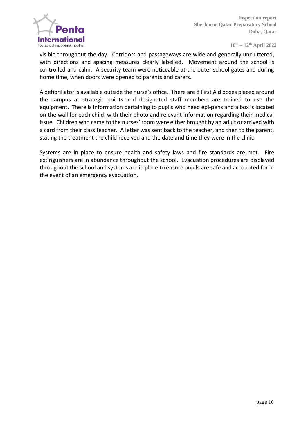

visible throughout the day. Corridors and passageways are wide and generally uncluttered, with directions and spacing measures clearly labelled. Movement around the school is controlled and calm. A security team were noticeable at the outer school gates and during home time, when doors were opened to parents and carers.

A defibrillator is available outside the nurse's office. There are 8 First Aid boxes placed around the campus at strategic points and designated staff members are trained to use the equipment. There is information pertaining to pupils who need epi-pens and a box is located on the wall for each child, with their photo and relevant information regarding their medical issue. Children who came to the nurses' room were either brought by an adult or arrived with a card from their class teacher. A letter was sent back to the teacher, and then to the parent, stating the treatment the child received and the date and time they were in the clinic.

Systems are in place to ensure health and safety laws and fire standards are met. Fire extinguishers are in abundance throughout the school. Evacuation procedures are displayed throughout the school and systems are in place to ensure pupils are safe and accounted for in the event of an emergency evacuation.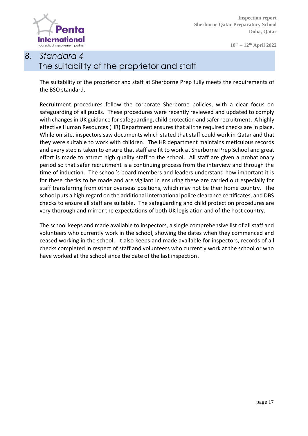

**10th – 12th April 2022**

# *8. Standard 4* The suitability of the proprietor and staff

The suitability of the proprietor and staff at Sherborne Prep fully meets the requirements of the BSO standard.

Recruitment procedures follow the corporate Sherborne policies, with a clear focus on safeguarding of all pupils. These procedures were recently reviewed and updated to comply with changes in UK guidance for safeguarding, child protection and safer recruitment. A highly effective Human Resources (HR) Department ensures that all the required checks are in place. While on site, inspectors saw documents which stated that staff could work in Qatar and that they were suitable to work with children. The HR department maintains meticulous records and every step is taken to ensure that staff are fit to work at Sherborne Prep School and great effort is made to attract high quality staff to the school. All staff are given a probationary period so that safer recruitment is a continuing process from the interview and through the time of induction. The school's board members and leaders understand how important it is for these checks to be made and are vigilant in ensuring these are carried out especially for staff transferring from other overseas positions, which may not be their home country. The school puts a high regard on the additional international police clearance certificates, and DBS checks to ensure all staff are suitable. The safeguarding and child protection procedures are very thorough and mirror the expectations of both UK legislation and of the host country.

The school keeps and made available to inspectors, a single comprehensive list of all staff and volunteers who currently work in the school, showing the dates when they commenced and ceased working in the school. It also keeps and made available for inspectors, records of all checks completed in respect of staff and volunteers who currently work at the school or who have worked at the school since the date of the last inspection.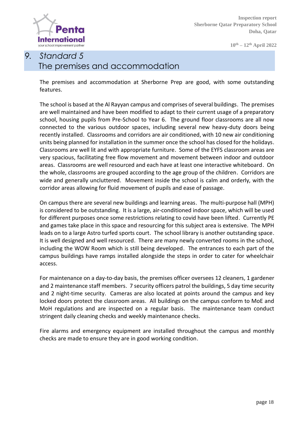

# *9. Standard 5* The premises and accommodation

The premises and accommodation at Sherborne Prep are good, with some outstanding features.

The school is based at the Al Rayyan campus and comprises of several buildings. The premises are well maintained and have been modified to adapt to their current usage of a preparatory school, housing pupils from Pre-School to Year 6. The ground floor classrooms are all now connected to the various outdoor spaces, including several new heavy-duty doors being recently installed. Classrooms and corridors are air conditioned, with 10 new air conditioning units being planned for installation in the summer once the school has closed for the holidays. Classrooms are well lit and with appropriate furniture. Some of the EYFS classroom areas are very spacious, facilitating free flow movement and movement between indoor and outdoor areas. Classrooms are well resourced and each have at least one interactive whiteboard. On the whole, classrooms are grouped according to the age group of the children. Corridors are wide and generally uncluttered. Movement inside the school is calm and orderly, with the corridor areas allowing for fluid movement of pupils and ease of passage.

On campus there are several new buildings and learning areas. The multi-purpose hall (MPH) is considered to be outstanding. It is a large, air-conditioned indoor space, which will be used for different purposes once some restrictions relating to covid have been lifted. Currently PE and games take place in this space and resourcing for this subject area is extensive. The MPH leads on to a large Astro turfed sports court. The school library is another outstanding space. It is well designed and well resourced. There are many newly converted rooms in the school, including the WOW Room which is still being developed. The entrances to each part of the campus buildings have ramps installed alongside the steps in order to cater for wheelchair access.

For maintenance on a day-to-day basis, the premises officer oversees 12 cleaners, 1 gardener and 2 maintenance staff members. 7 security officers patrol the buildings, 5 day time security and 2 night-time security. Cameras are also located at points around the campus and key locked doors protect the classroom areas. All buildings on the campus conform to MoE and MoH regulations and are inspected on a regular basis. The maintenance team conduct stringent daily cleaning checks and weekly maintenance checks.

Fire alarms and emergency equipment are installed throughout the campus and monthly checks are made to ensure they are in good working condition.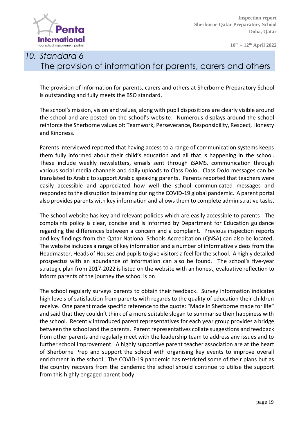

# *10. Standard 6* The provision of information for parents, carers and others

The provision of information for parents, carers and others at Sherborne Preparatory School is outstanding and fully meets the BSO standard.

The school's mission, vision and values, along with pupil dispositions are clearly visible around the school and are posted on the school's website. Numerous displays around the school reinforce the Sherborne values of: Teamwork, Perseverance, Responsibility, Respect, Honesty and Kindness.

Parents interviewed reported that having access to a range of communication systems keeps them fully informed about their child's education and all that is happening in the school. These include weekly newsletters, emails sent through iSAMS, communication through various social media channels and daily uploads to Class DoJo. Class DoJo messages can be translated to Arabic to support Arabic speaking parents. Parents reported that teachers were easily accessible and appreciated how well the school communicated messages and responded to the disruption to learning during the COVID-19 global pandemic. A parent portal also provides parents with key information and allows them to complete administrative tasks.

The school website has key and relevant policies which are easily accessible to parents. The complaints policy is clear, concise and is informed by Department for Education guidance regarding the differences between a concern and a complaint. Previous inspection reports and key findings from the Qatar National Schools Accreditation (QNSA) can also be located. The website includes a range of key information and a number of informative videos from the Headmaster, Heads of Houses and pupils to give visitors a feel for the school. A highly detailed prospectus with an abundance of information can also be found. The school's five-year strategic plan from 2017-2022 is listed on the website with an honest, evaluative reflection to inform parents of the journey the school is on.

The school regularly surveys parents to obtain their feedback. Survey information indicates high levels of satisfaction from parents with regards to the quality of education their children receive. One parent made specific reference to the quote: "Made in Sherborne made for life" and said that they couldn't think of a more suitable slogan to summarise their happiness with the school. Recently introduced parent representatives for each year group provides a bridge between the school and the parents. Parent representatives collate suggestions and feedback from other parents and regularly meet with the leadership team to address any issues and to further school improvement. A highly supportive parent teacher association are at the heart of Sherborne Prep and support the school with organising key events to improve overall enrichment in the school. The COVID-19 pandemic has restricted some of their plans but as the country recovers from the pandemic the school should continue to utilise the support from this highly engaged parent body.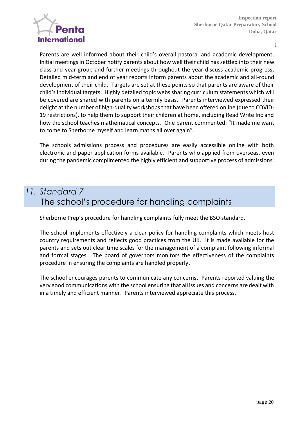

Parents are well informed about their child's overall pastoral and academic development. Initial meetings in October notify parents about how well their child has settled into their new class and year group and further meetings throughout the year discuss academic progress. Detailed mid-term and end of year reports inform parents about the academic and all-round development of their child. Targets are set at these points so that parents are aware of their child's individual targets. Highly detailed topic webs sharing curriculum statements which will be covered are shared with parents on a termly basis. Parents interviewed expressed their delight at the number of high-quality workshops that have been offered online (due to COVID-19 restrictions), to help them to support their children at home, including Read Write Inc and how the school teaches mathematical concepts. One parent commented: "It made me want to come to Sherborne myself and learn maths all over again".

The schools admissions process and procedures are easily accessible online with both electronic and paper application forms available. Parents who applied from overseas, even during the pandemic complimented the highly efficient and supportive process of admissions.

#### *11. Standard 7* The school's procedure for handling complaints

Sherborne Prep's procedure for handling complaints fully meet the BSO standard.

The school implements effectively a clear policy for handling complaints which meets host country requirements and reflects good practices from the UK. It is made available for the parents and sets out clear time scales for the management of a complaint following informal and formal stages. The board of governors monitors the effectiveness of the complaints procedure in ensuring the complaints are handled properly.

The school encourages parents to communicate any concerns. Parents reported valuing the very good communications with the school ensuring that all issues and concerns are dealt with in a timely and efficient manner. Parents interviewed appreciate this process.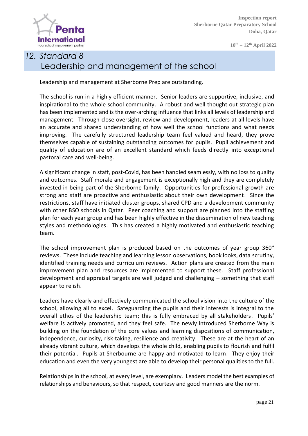

**10th – 12th April 2022**

# *12. Standard 8* Leadership and management of the school

Leadership and management at Sherborne Prep are outstanding.

The school is run in a highly efficient manner. Senior leaders are supportive, inclusive, and inspirational to the whole school community. A robust and well thought out strategic plan has been implemented and is the over-arching influence that links all levels of leadership and management. Through close oversight, review and development, leaders at all levels have an accurate and shared understanding of how well the school functions and what needs improving. The carefully structured leadership team feel valued and heard, they prove themselves capable of sustaining outstanding outcomes for pupils. Pupil achievement and quality of education are of an excellent standard which feeds directly into exceptional pastoral care and well-being.

A significant change in staff, post-Covid, has been handled seamlessly, with no loss to quality and outcomes. Staff morale and engagement is exceptionally high and they are completely invested in being part of the Sherborne family. Opportunities for professional growth are strong and staff are proactive and enthusiastic about their own development. Since the restrictions, staff have initiated cluster groups, shared CPD and a development community with other BSO schools in Qatar. Peer coaching and support are planned into the staffing plan for each year group and has been highly effective in the dissemination of new teaching styles and methodologies. This has created a highly motivated and enthusiastic teaching team.

The school improvement plan is produced based on the outcomes of year group 360° reviews. These include teaching and learning lesson observations, book looks, data scrutiny, identified training needs and curriculum reviews. Action plans are created from the main improvement plan and resources are implemented to support these. Staff professional development and appraisal targets are well judged and challenging – something that staff appear to relish.

Leaders have clearly and effectively communicated the school vision into the culture of the school, allowing all to excel. Safeguarding the pupils and their interests is integral to the overall ethos of the leadership team; this is fully embraced by all stakeholders. Pupils' welfare is actively promoted, and they feel safe. The newly introduced Sherborne Way is building on the foundation of the core values and learning dispositions of communication, independence, curiosity, risk-taking, resilience and creativity. These are at the heart of an already vibrant culture, which develops the whole child, enabling pupils to flourish and fulfil their potential. Pupils at Sherbourne are happy and motivated to learn. They enjoy their education and even the very youngest are able to develop their personal qualities to the full.

Relationships in the school, at every level, are exemplary. Leaders model the best examples of relationships and behaviours, so that respect, courtesy and good manners are the norm.